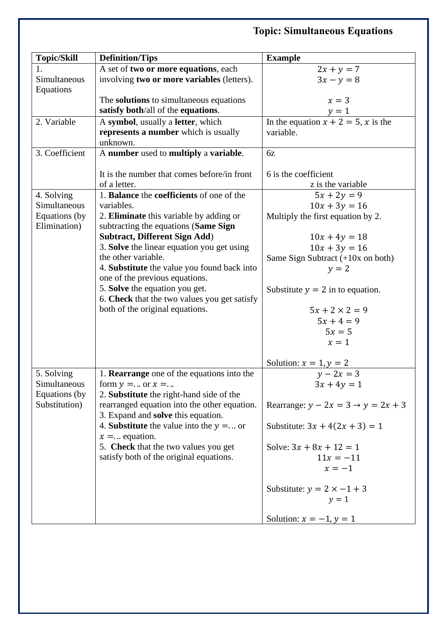## **Topic: Simultaneous Equations**

| <b>Topic/Skill</b> | <b>Definition/Tips</b>                         | <b>Example</b>                                    |
|--------------------|------------------------------------------------|---------------------------------------------------|
| 1.                 | A set of two or more equations, each           | $2x + y = 7$                                      |
| Simultaneous       | involving two or more variables (letters).     | $3x - y = 8$                                      |
| Equations          |                                                |                                                   |
|                    | The <b>solutions</b> to simultaneous equations | $x=3$                                             |
|                    | satisfy both/all of the equations.             |                                                   |
| 2. Variable        | A symbol, usually a letter, which              | $y = 1$<br>In the equation $x + 2 = 5$ , x is the |
|                    | represents a number which is usually           | variable.                                         |
|                    | unknown.                                       |                                                   |
| 3. Coefficient     | A number used to multiply a variable.          | 6z                                                |
|                    |                                                |                                                   |
|                    | It is the number that comes before/in front    | 6 is the coefficient                              |
|                    | of a letter.                                   | z is the variable                                 |
| 4. Solving         | 1. Balance the coefficients of one of the      | $5x + 2y = 9$                                     |
| Simultaneous       | variables.                                     | $10x + 3y = 16$                                   |
| Equations (by      | 2. Eliminate this variable by adding or        | Multiply the first equation by 2.                 |
| Elimination)       | subtracting the equations (Same Sign           |                                                   |
|                    | <b>Subtract, Different Sign Add)</b>           | $10x + 4y = 18$                                   |
|                    | 3. Solve the linear equation you get using     | $10x + 3y = 16$                                   |
|                    | the other variable.                            | Same Sign Subtract (+10x on both)                 |
|                    | 4. Substitute the value you found back into    | $y = 2$                                           |
|                    | one of the previous equations.                 |                                                   |
|                    | 5. Solve the equation you get.                 | Substitute $y = 2$ in to equation.                |
|                    | 6. Check that the two values you get satisfy   |                                                   |
|                    | both of the original equations.                | $5x + 2 \times 2 = 9$                             |
|                    |                                                | $5x + 4 = 9$                                      |
|                    |                                                | $5x=5$                                            |
|                    |                                                | $x=1$                                             |
|                    |                                                | Solution: $x = 1, y = 2$                          |
| 5. Solving         | 1. Rearrange one of the equations into the     | $y-2x=3$                                          |
| Simultaneous       | form $v = $ or $x = $                          | $3x + 4y = 1$                                     |
| Equations (by      | 2. Substitute the right-hand side of the       |                                                   |
| Substitution)      | rearranged equation into the other equation.   | Rearrange: $y - 2x = 3 \rightarrow y = 2x + 3$    |
|                    | 3. Expand and <b>solve</b> this equation.      |                                                   |
|                    | 4. Substitute the value into the $y = $ or     | Substitute: $3x + 4(2x + 3) = 1$                  |
|                    | $x =$ equation.                                |                                                   |
|                    | 5. Check that the two values you get           | Solve: $3x + 8x + 12 = 1$                         |
|                    | satisfy both of the original equations.        | $11x = -11$                                       |
|                    |                                                | $x=-1$                                            |
|                    |                                                |                                                   |
|                    |                                                | Substitute: $y = 2 \times -1 + 3$                 |
|                    |                                                | $y=1$                                             |
|                    |                                                |                                                   |
|                    |                                                | Solution: $x = -1$ , $y = 1$                      |